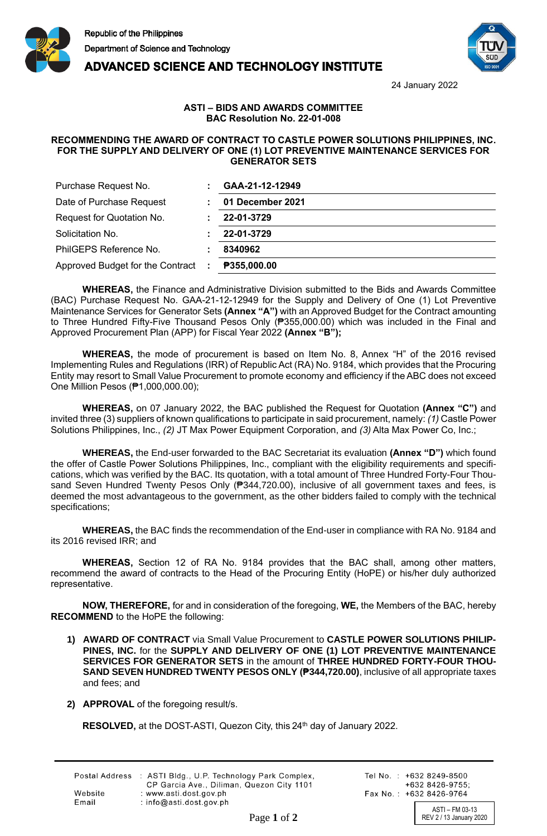





24 January 2022

## **ASTI – BIDS AND AWARDS COMMITTEE BAC Resolution No. 22-01-008**

## **RECOMMENDING THE AWARD OF CONTRACT TO CASTLE POWER SOLUTIONS PHILIPPINES, INC. FOR THE SUPPLY AND DELIVERY OF ONE (1) LOT PREVENTIVE MAINTENANCE SERVICES FOR GENERATOR SETS**

| Purchase Request No.                  | GAA-21-12-12949    |
|---------------------------------------|--------------------|
| Date of Purchase Request              | 01 December 2021   |
| Request for Quotation No.             | 22-01-3729         |
| Solicitation No.                      | 22-01-3729         |
| PhilGEPS Reference No.                | 8340962            |
| Approved Budget for the Contract<br>÷ | <b>P355,000.00</b> |

**WHEREAS,** the Finance and Administrative Division submitted to the Bids and Awards Committee (BAC) Purchase Request No. GAA-21-12-12949 for the Supply and Delivery of One (1) Lot Preventive Maintenance Services for Generator Sets **(Annex "A")** with an Approved Budget for the Contract amounting to Three Hundred Fifty-Five Thousand Pesos Only (₱355,000.00) which was included in the Final and Approved Procurement Plan (APP) for Fiscal Year 2022 **(Annex "B");**

**WHEREAS,** the mode of procurement is based on Item No. 8, Annex "H" of the 2016 revised Implementing Rules and Regulations (IRR) of Republic Act (RA) No. 9184, which provides that the Procuring Entity may resort to Small Value Procurement to promote economy and efficiency if the ABC does not exceed One Million Pesos (₱1,000,000.00);

**WHEREAS,** on 07 January 2022, the BAC published the Request for Quotation **(Annex "C")** and invited three (3) suppliers of known qualifications to participate in said procurement, namely: *(1)* Castle Power Solutions Philippines, Inc., *(2)* JT Max Power Equipment Corporation, and *(3)* Alta Max Power Co, Inc.;

**WHEREAS,** the End-user forwarded to the BAC Secretariat its evaluation **(Annex "D")** which found the offer of Castle Power Solutions Philippines, Inc., compliant with the eligibility requirements and specifications, which was verified by the BAC. Its quotation, with a total amount of Three Hundred Forty-Four Thousand Seven Hundred Twenty Pesos Only (<sup>2</sup>344,720.00), inclusive of all government taxes and fees, is deemed the most advantageous to the government, as the other bidders failed to comply with the technical specifications;

**WHEREAS,** the BAC finds the recommendation of the End-user in compliance with RA No. 9184 and its 2016 revised IRR; and

**WHEREAS,** Section 12 of RA No. 9184 provides that the BAC shall, among other matters, recommend the award of contracts to the Head of the Procuring Entity (HoPE) or his/her duly authorized representative.

**NOW, THEREFORE,** for and in consideration of the foregoing, **WE,** the Members of the BAC, hereby **RECOMMEND** to the HoPE the following:

- **1) AWARD OF CONTRACT** via Small Value Procurement to **CASTLE POWER SOLUTIONS PHILIP-PINES, INC.** for the **SUPPLY AND DELIVERY OF ONE (1) LOT PREVENTIVE MAINTENANCE SERVICES FOR GENERATOR SETS** in the amount of **THREE HUNDRED FORTY-FOUR THOU-SAND SEVEN HUNDRED TWENTY PESOS ONLY (₱344,720.00)**, inclusive of all appropriate taxes and fees; and
- **2) APPROVAL** of the foregoing result/s.

RESOLVED, at the DOST-ASTI, Quezon City, this 24<sup>th</sup> day of January 2022.